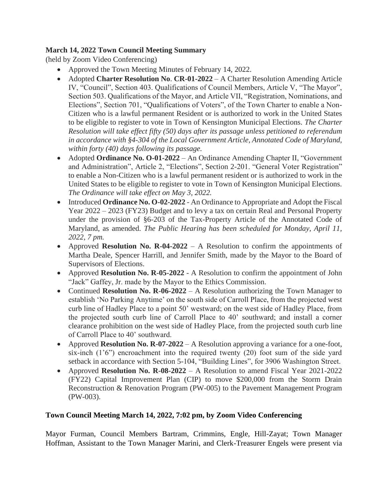# **March 14, 2022 Town Council Meeting Summary**

(held by Zoom Video Conferencing)

- Approved the Town Meeting Minutes of February 14, 2022.
- Adopted **[Charter Resolution No](https://r20.rs6.net/tn.jsp?f=001jPDsWhEJoskDCGPOEgETpJdARGBn779dH8WyTvdaAtYF71IIM97ServvaaHwD9p0AG-dD3P3mLwE2WhnZS3lW9VaFZ0H9s-rJED7P7lN-9EZ2vaYsoj1Scx7Rt7sJT9nOzsK9_3xHEtadEDgMa_V87Rx0g7SvKqyktK_NuF6gU8uZITGl8aR_WE0PrS9c7Xa2J6AElMJs9BmRgx9x_cRFfn5yYR7VjDbJUPToIJ0ZwU=&c=J6pNeSR6b9oMLgPBNs1ReZjckvScfVc-eWm-JVwr-ztDY4AOYPrZbA==&ch=eC1LXLvQkr_4LCm6MkX2f6K1OonCpyD1iDKnmk3bmaKTVmnKatpP9g==)**. **CR-01-2022** A Charter Resolution Amending Article IV, "Council", Section 403. Qualifications of Council Members, Article V, "The Mayor", Section 503. Qualifications of the Mayor, and Article VII, "Registration, Nominations, and Elections", Section 701, "Qualifications of Voters", of the Town Charter to enable a Non-Citizen who is a lawful permanent Resident or is authorized to work in the United States to be eligible to register to vote in Town of Kensington Municipal Elections. *The Charter Resolution will take effect fifty (50) days after its passage unless petitioned to referendum in accordance with §4-304 of the Local Government Article, Annotated Code of Maryland, within forty (40) days following its passage.*
- Adopted **[Ordinance No. O-01-2022](https://r20.rs6.net/tn.jsp?f=001jPDsWhEJoskDCGPOEgETpJdARGBn779dH8WyTvdaAtYF71IIM97ServvaaHwD9p0xJEwIAYwm_TlqvUelfmvyzYp8RpDePdcafBvcUWsAb0FsgHymL7VyyJ96xN0p5j8TtClVT-PwBeDz93ppx0SKyeK_Uz3lDDc8r07mYj1H4YmfoNgzCWMincaNBlN8Kq5LSg9JR2Gj1psScrp2GYAWonMxSRyxfE9iHsQOmVQdtI=&c=J6pNeSR6b9oMLgPBNs1ReZjckvScfVc-eWm-JVwr-ztDY4AOYPrZbA==&ch=eC1LXLvQkr_4LCm6MkX2f6K1OonCpyD1iDKnmk3bmaKTVmnKatpP9g==)** An Ordinance Amending Chapter II, "Government and Administration", Article 2, "Elections", Section 2-201. "General Voter Registration" to enable a Non-Citizen who is a lawful permanent resident or is authorized to work in the United States to be eligible to register to vote in Town of Kensington Municipal Elections. *The Ordinance will take effect on May 3, 2022.*
- Introduced **[Ordinance No. O-02-2022](https://r20.rs6.net/tn.jsp?f=001jPDsWhEJoskDCGPOEgETpJdARGBn779dH8WyTvdaAtYF71IIM97ServvaaHwD9p0AvvumP6XsMJ8Lb44fxyFgSlGv1ukQV18CBBpwevAzlq4cFEWImIYKaNIye6fOOD0MikGKzfzPEUqT3vzojHy3wNElZnQBmG-znoU-feCVOzyyhTAM84Hm8b_h1EYODA3BK7p9ezAn2CT7BGBzBoek1GRQHADjQwk6aTPZSK5o4TpNYIe9YnZt78BHkfKdfWG&c=J6pNeSR6b9oMLgPBNs1ReZjckvScfVc-eWm-JVwr-ztDY4AOYPrZbA==&ch=eC1LXLvQkr_4LCm6MkX2f6K1OonCpyD1iDKnmk3bmaKTVmnKatpP9g==)** An Ordinance to Appropriate and Adopt the Fiscal Year 2022 – 2023 (FY23) Budget and to levy a tax on certain Real and Personal Property under the provision of §6-203 of the Tax-Property Article of the Annotated Code of Maryland, as amended. *The Public Hearing has been scheduled for Monday, April 11, 2022, 7 pm.*
- Approved **Resolution No. R-04-2022** A Resolution to confirm the appointments of Martha Deale, Spencer Harrill, and Jennifer Smith, made by the Mayor to the Board of Supervisors of Elections.
- Approved **Resolution No. R-05-2022** A Resolution to confirm the appointment of John "Jack" Gaffey, Jr. made by the Mayor to the Ethics Commission.
- Continued **Resolution No. R-06-2022** A Resolution authorizing the Town Manager to establish 'No Parking Anytime' on the south side of Carroll Place, from the projected west curb line of Hadley Place to a point 50' westward; on the west side of Hadley Place, from the projected south curb line of Carroll Place to 40' southward; and install a corner clearance prohibition on the west side of Hadley Place, from the projected south curb line of Carroll Place to 40' southward.
- Approved **Resolution No. R-07-2022** A Resolution approving a variance for a one-foot, six-inch (1'6") encroachment into the required twenty (20) foot sum of the side yard setback in accordance with Section 5-104, "Building Lines", for 3906 Washington Street.
- Approved **Resolution No. R-08-2022** A Resolution to amend Fiscal Year 2021-2022 (FY22) Capital Improvement Plan (CIP) to move \$200,000 from the Storm Drain Reconstruction & Renovation Program (PW-005) to the Pavement Management Program (PW-003).

## **Town Council Meeting March 14, 2022, 7:02 pm, by Zoom Video Conferencing**

Mayor Furman, Council Members Bartram, Crimmins, Engle, Hill-Zayat; Town Manager Hoffman, Assistant to the Town Manager Marini, and Clerk-Treasurer Engels were present via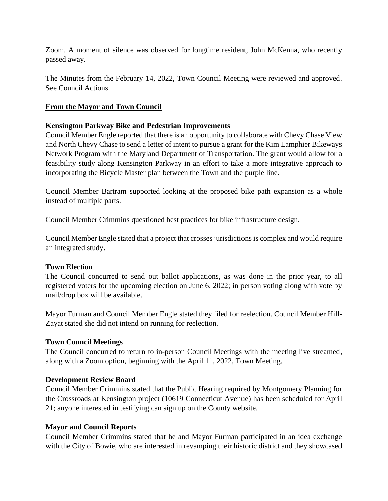Zoom. A moment of silence was observed for longtime resident, John McKenna, who recently passed away.

The Minutes from the February 14, 2022, Town Council Meeting were reviewed and approved. See Council Actions.

# **From the Mayor and Town Council**

# **Kensington Parkway Bike and Pedestrian Improvements**

Council Member Engle reported that there is an opportunity to collaborate with Chevy Chase View and North Chevy Chase to send a letter of intent to pursue a grant for the Kim Lamphier Bikeways Network Program with the Maryland Department of Transportation. The grant would allow for a feasibility study along Kensington Parkway in an effort to take a more integrative approach to incorporating the Bicycle Master plan between the Town and the purple line.

Council Member Bartram supported looking at the proposed bike path expansion as a whole instead of multiple parts.

Council Member Crimmins questioned best practices for bike infrastructure design.

Council Member Engle stated that a project that crosses jurisdictions is complex and would require an integrated study.

## **Town Election**

The Council concurred to send out ballot applications, as was done in the prior year, to all registered voters for the upcoming election on June 6, 2022; in person voting along with vote by mail/drop box will be available.

Mayor Furman and Council Member Engle stated they filed for reelection. Council Member Hill-Zayat stated she did not intend on running for reelection.

## **Town Council Meetings**

The Council concurred to return to in-person Council Meetings with the meeting live streamed, along with a Zoom option, beginning with the April 11, 2022, Town Meeting.

## **Development Review Board**

Council Member Crimmins stated that the Public Hearing required by Montgomery Planning for the Crossroads at Kensington project (10619 Connecticut Avenue) has been scheduled for April 21; anyone interested in testifying can sign up on the County website.

## **Mayor and Council Reports**

Council Member Crimmins stated that he and Mayor Furman participated in an idea exchange with the City of Bowie, who are interested in revamping their historic district and they showcased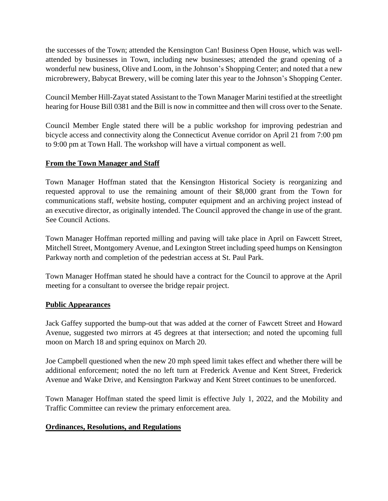the successes of the Town; attended the Kensington Can! Business Open House, which was wellattended by businesses in Town, including new businesses; attended the grand opening of a wonderful new business, Olive and Loom, in the Johnson's Shopping Center; and noted that a new microbrewery, Babycat Brewery, will be coming later this year to the Johnson's Shopping Center.

Council Member Hill-Zayat stated Assistant to the Town Manager Marini testified at the streetlight hearing for House Bill 0381 and the Bill is now in committee and then will cross over to the Senate.

Council Member Engle stated there will be a public workshop for improving pedestrian and bicycle access and connectivity along the Connecticut Avenue corridor on April 21 from 7:00 pm to 9:00 pm at Town Hall. The workshop will have a virtual component as well.

## **From the Town Manager and Staff**

Town Manager Hoffman stated that the Kensington Historical Society is reorganizing and requested approval to use the remaining amount of their \$8,000 grant from the Town for communications staff, website hosting, computer equipment and an archiving project instead of an executive director, as originally intended. The Council approved the change in use of the grant. See Council Actions.

Town Manager Hoffman reported milling and paving will take place in April on Fawcett Street, Mitchell Street, Montgomery Avenue, and Lexington Street including speed humps on Kensington Parkway north and completion of the pedestrian access at St. Paul Park.

Town Manager Hoffman stated he should have a contract for the Council to approve at the April meeting for a consultant to oversee the bridge repair project.

#### **Public Appearances**

Jack Gaffey supported the bump-out that was added at the corner of Fawcett Street and Howard Avenue, suggested two mirrors at 45 degrees at that intersection; and noted the upcoming full moon on March 18 and spring equinox on March 20.

Joe Campbell questioned when the new 20 mph speed limit takes effect and whether there will be additional enforcement; noted the no left turn at Frederick Avenue and Kent Street, Frederick Avenue and Wake Drive, and Kensington Parkway and Kent Street continues to be unenforced.

Town Manager Hoffman stated the speed limit is effective July 1, 2022, and the Mobility and Traffic Committee can review the primary enforcement area.

#### **Ordinances, Resolutions, and Regulations**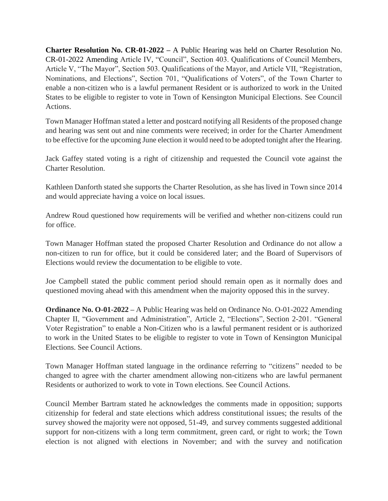**Charter Resolution No. CR-01-2022 –** A Public Hearing was held on Charter Resolution No. CR-01-2022 Amending Article IV, "Council", Section 403. Qualifications of Council Members, Article V, "The Mayor", Section 503. Qualifications of the Mayor, and Article VII, "Registration, Nominations, and Elections", Section 701, "Qualifications of Voters", of the Town Charter to enable a non-citizen who is a lawful permanent Resident or is authorized to work in the United States to be eligible to register to vote in Town of Kensington Municipal Elections. See Council Actions.

Town Manager Hoffman stated a letter and postcard notifying all Residents of the proposed change and hearing was sent out and nine comments were received; in order for the Charter Amendment to be effective for the upcoming June election it would need to be adopted tonight after the Hearing.

Jack Gaffey stated voting is a right of citizenship and requested the Council vote against the Charter Resolution.

Kathleen Danforth stated she supports the Charter Resolution, as she has lived in Town since 2014 and would appreciate having a voice on local issues.

Andrew Roud questioned how requirements will be verified and whether non-citizens could run for office.

Town Manager Hoffman stated the proposed Charter Resolution and Ordinance do not allow a non-citizen to run for office, but it could be considered later; and the Board of Supervisors of Elections would review the documentation to be eligible to vote.

Joe Campbell stated the public comment period should remain open as it normally does and questioned moving ahead with this amendment when the majority opposed this in the survey.

**Ordinance No. O-01-2022 –** A Public Hearing was held on Ordinance No. O-01-2022 Amending Chapter II, "Government and Administration", Article 2, "Elections", Section 2-201. "General Voter Registration" to enable a Non-Citizen who is a lawful permanent resident or is authorized to work in the United States to be eligible to register to vote in Town of Kensington Municipal Elections. See Council Actions.

Town Manager Hoffman stated language in the ordinance referring to "citizens" needed to be changed to agree with the charter amendment allowing non-citizens who are lawful permanent Residents or authorized to work to vote in Town elections. See Council Actions.

Council Member Bartram stated he acknowledges the comments made in opposition; supports citizenship for federal and state elections which address constitutional issues; the results of the survey showed the majority were not opposed, 51-49, and survey comments suggested additional support for non-citizens with a long term commitment, green card, or right to work; the Town election is not aligned with elections in November; and with the survey and notification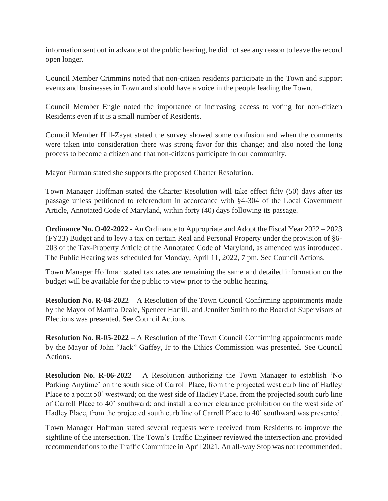information sent out in advance of the public hearing, he did not see any reason to leave the record open longer.

Council Member Crimmins noted that non-citizen residents participate in the Town and support events and businesses in Town and should have a voice in the people leading the Town.

Council Member Engle noted the importance of increasing access to voting for non-citizen Residents even if it is a small number of Residents.

Council Member Hill-Zayat stated the survey showed some confusion and when the comments were taken into consideration there was strong favor for this change; and also noted the long process to become a citizen and that non-citizens participate in our community.

Mayor Furman stated she supports the proposed Charter Resolution.

Town Manager Hoffman stated the Charter Resolution will take effect fifty (50) days after its passage unless petitioned to referendum in accordance with §4-304 of the Local Government Article, Annotated Code of Maryland, within forty (40) days following its passage.

**[Ordinance No. O-02-2022](https://r20.rs6.net/tn.jsp?f=001jPDsWhEJoskDCGPOEgETpJdARGBn779dH8WyTvdaAtYF71IIM97ServvaaHwD9p0AvvumP6XsMJ8Lb44fxyFgSlGv1ukQV18CBBpwevAzlq4cFEWImIYKaNIye6fOOD0MikGKzfzPEUqT3vzojHy3wNElZnQBmG-znoU-feCVOzyyhTAM84Hm8b_h1EYODA3BK7p9ezAn2CT7BGBzBoek1GRQHADjQwk6aTPZSK5o4TpNYIe9YnZt78BHkfKdfWG&c=J6pNeSR6b9oMLgPBNs1ReZjckvScfVc-eWm-JVwr-ztDY4AOYPrZbA==&ch=eC1LXLvQkr_4LCm6MkX2f6K1OonCpyD1iDKnmk3bmaKTVmnKatpP9g==)** - An Ordinance to Appropriate and Adopt the Fiscal Year 2022 – 2023 (FY23) Budget and to levy a tax on certain Real and Personal Property under the provision of §6- 203 of the Tax-Property Article of the Annotated Code of Maryland, as amended was introduced. The Public Hearing was scheduled for Monday, April 11, 2022, 7 pm. See Council Actions.

Town Manager Hoffman stated tax rates are remaining the same and detailed information on the budget will be available for the public to view prior to the public hearing.

**Resolution No. R-04-2022 –** A Resolution of the Town Council Confirming appointments made by the Mayor of Martha Deale, Spencer Harrill, and Jennifer Smith to the Board of Supervisors of Elections was presented. See Council Actions.

**Resolution No. R-05-2022 –** A Resolution of the Town Council Confirming appointments made by the Mayor of John "Jack" Gaffey, Jr to the Ethics Commission was presented. See Council Actions.

**Resolution No. R-06-2022 –** A Resolution authorizing the Town Manager to establish 'No Parking Anytime' on the south side of Carroll Place, from the projected west curb line of Hadley Place to a point 50' westward; on the west side of Hadley Place, from the projected south curb line of Carroll Place to 40' southward; and install a corner clearance prohibition on the west side of Hadley Place, from the projected south curb line of Carroll Place to 40' southward was presented.

Town Manager Hoffman stated several requests were received from Residents to improve the sightline of the intersection. The Town's Traffic Engineer reviewed the intersection and provided recommendations to the Traffic Committee in April 2021. An all-way Stop was not recommended;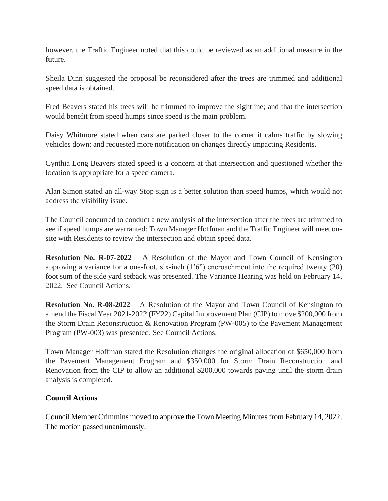however, the Traffic Engineer noted that this could be reviewed as an additional measure in the future.

Sheila Dinn suggested the proposal be reconsidered after the trees are trimmed and additional speed data is obtained.

Fred Beavers stated his trees will be trimmed to improve the sightline; and that the intersection would benefit from speed humps since speed is the main problem.

Daisy Whitmore stated when cars are parked closer to the corner it calms traffic by slowing vehicles down; and requested more notification on changes directly impacting Residents.

Cynthia Long Beavers stated speed is a concern at that intersection and questioned whether the location is appropriate for a speed camera.

Alan Simon stated an all-way Stop sign is a better solution than speed humps, which would not address the visibility issue.

The Council concurred to conduct a new analysis of the intersection after the trees are trimmed to see if speed humps are warranted; Town Manager Hoffman and the Traffic Engineer will meet onsite with Residents to review the intersection and obtain speed data.

**Resolution No. R-07-2022** – A Resolution of the Mayor and Town Council of Kensington approving a variance for a one-foot, six-inch  $(1<sup>o</sup>)$  encroachment into the required twenty  $(20)$ foot sum of the side yard setback was presented. The Variance Hearing was held on February 14, 2022. See Council Actions.

**Resolution No. R-08-2022** – A Resolution of the Mayor and Town Council of Kensington to amend the Fiscal Year 2021-2022 (FY22) Capital Improvement Plan (CIP) to move \$200,000 from the Storm Drain Reconstruction & Renovation Program (PW-005) to the Pavement Management Program (PW-003) was presented. See Council Actions.

Town Manager Hoffman stated the Resolution changes the original allocation of \$650,000 from the Pavement Management Program and \$350,000 for Storm Drain Reconstruction and Renovation from the CIP to allow an additional \$200,000 towards paving until the storm drain analysis is completed.

## **Council Actions**

Council Member Crimmins moved to approve the Town Meeting Minutes from February 14, 2022. The motion passed unanimously.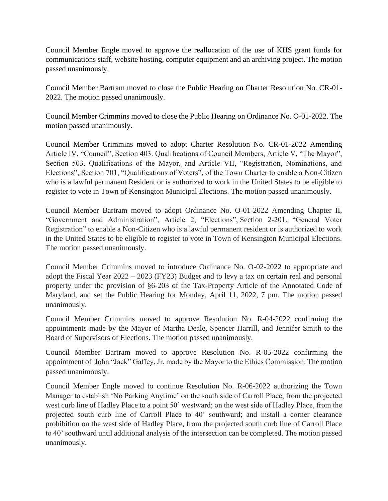Council Member Engle moved to approve the reallocation of the use of KHS grant funds for communications staff, website hosting, computer equipment and an archiving project. The motion passed unanimously.

Council Member Bartram moved to close the Public Hearing on Charter Resolution No. CR-01- 2022. The motion passed unanimously.

Council Member Crimmins moved to close the Public Hearing on Ordinance No. O-01-2022. The motion passed unanimously.

Council Member Crimmins moved to adopt Charter Resolution No. CR-01-2022 Amending Article IV, "Council", Section 403. Qualifications of Council Members, Article V, "The Mayor", Section 503. Qualifications of the Mayor, and Article VII, "Registration, Nominations, and Elections", Section 701, "Qualifications of Voters", of the Town Charter to enable a Non-Citizen who is a lawful permanent Resident or is authorized to work in the United States to be eligible to register to vote in Town of Kensington Municipal Elections. The motion passed unanimously.

Council Member Bartram moved to adopt Ordinance No. O-01-2022 Amending Chapter II, "Government and Administration", Article 2, "Elections", Section 2-201. "General Voter Registration" to enable a Non-Citizen who is a lawful permanent resident or is authorized to work in the United States to be eligible to register to vote in Town of Kensington Municipal Elections. The motion passed unanimously.

Council Member Crimmins moved to introduce Ordinance [No. O-02-2022](https://r20.rs6.net/tn.jsp?f=001jPDsWhEJoskDCGPOEgETpJdARGBn779dH8WyTvdaAtYF71IIM97ServvaaHwD9p0AvvumP6XsMJ8Lb44fxyFgSlGv1ukQV18CBBpwevAzlq4cFEWImIYKaNIye6fOOD0MikGKzfzPEUqT3vzojHy3wNElZnQBmG-znoU-feCVOzyyhTAM84Hm8b_h1EYODA3BK7p9ezAn2CT7BGBzBoek1GRQHADjQwk6aTPZSK5o4TpNYIe9YnZt78BHkfKdfWG&c=J6pNeSR6b9oMLgPBNs1ReZjckvScfVc-eWm-JVwr-ztDY4AOYPrZbA==&ch=eC1LXLvQkr_4LCm6MkX2f6K1OonCpyD1iDKnmk3bmaKTVmnKatpP9g==) to appropriate and adopt the Fiscal Year 2022 – 2023 (FY23) Budget and to levy a tax on certain real and personal property under the provision of §6-203 of the Tax-Property Article of the Annotated Code of Maryland, and set the Public Hearing for Monday, April 11, 2022, 7 pm. The motion passed unanimously.

Council Member Crimmins moved to approve Resolution No. R-04-2022 confirming the appointments made by the Mayor of Martha Deale, Spencer Harrill, and Jennifer Smith to the Board of Supervisors of Elections. The motion passed unanimously.

Council Member Bartram moved to approve Resolution No. R-05-2022 confirming the appointment of John "Jack" Gaffey, Jr. made by the Mayor to the Ethics Commission. The motion passed unanimously.

Council Member Engle moved to continue Resolution No. R-06-2022 authorizing the Town Manager to establish 'No Parking Anytime' on the south side of Carroll Place, from the projected west curb line of Hadley Place to a point 50' westward; on the west side of Hadley Place, from the projected south curb line of Carroll Place to 40' southward; and install a corner clearance prohibition on the west side of Hadley Place, from the projected south curb line of Carroll Place to 40' southward until additional analysis of the intersection can be completed. The motion passed unanimously.